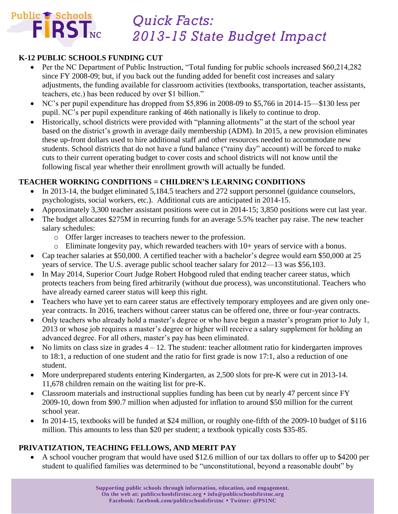

## *Quick Facts: 2013-15 State Budget Impact*

## **K-12 PUBLIC SCHOOLS FUNDING CUT**

- Per the NC Department of Public Instruction, "Total funding for public schools increased \$60,214,282 since FY 2008-09; but, if you back out the funding added for benefit cost increases and salary adjustments, the funding available for classroom activities (textbooks, transportation, teacher assistants, teachers, etc.) has been reduced by over \$1 billion."
- NC's per pupil expenditure has dropped from \$5,896 in 2008-09 to \$5,766 in 2014-15—\$130 less per pupil. NC's per pupil expenditure ranking of 46th nationally is likely to continue to drop.
- Historically, school districts were provided with "planning allotments" at the start of the school year based on the district's growth in average daily membership (ADM). In 2015, a new provision eliminates these up-front dollars used to hire additional staff and other resources needed to accommodate new students. School districts that do not have a fund balance ("rainy day" account) will be forced to make cuts to their current operating budget to cover costs and school districts will not know until the following fiscal year whether their enrollment growth will actually be funded.

### **TEACHER WORKING CONDITIONS = CHILDREN'S LEARNING CONDITIONS**

- In 2013-14, the budget eliminated 5,184.5 teachers and 272 support personnel (guidance counselors, psychologists, social workers, etc.). Additional cuts are anticipated in 2014-15.
- Approximately 3,300 teacher assistant positions were cut in 2014-15; 3,850 positions were cut last year.
- The budget allocates \$275M in recurring funds for an average 5.5% teacher pay raise. The new teacher salary schedules:
	- o Offer larger increases to teachers newer to the profession.
	- o Eliminate longevity pay, which rewarded teachers with 10+ years of service with a bonus.
- Cap teacher salaries at \$50,000. A certified teacher with a bachelor's degree would earn \$50,000 at 25 years of service. The U.S. average public school teacher salary for 2012—13 was \$56,103.
- In May 2014, Superior Court Judge Robert Hobgood ruled that ending teacher career status, which protects teachers from being fired arbitrarily (without due process), was unconstitutional. Teachers who have already earned career status will keep this right.
- Teachers who have yet to earn career status are effectively temporary employees and are given only oneyear contracts. In 2016, teachers without career status can be offered one, three or four-year contracts.
- Only teachers who already hold a master's degree or who have begun a master's program prior to July 1, 2013 or whose job requires a master's degree or higher will receive a salary supplement for holding an advanced degree. For all others, master's pay has been eliminated.
- $\bullet$  No limits on class size in grades  $4 12$ . The student: teacher allotment ratio for kindergarten improves to 18:1, a reduction of one student and the ratio for first grade is now 17:1, also a reduction of one student.
- More underprepared students entering Kindergarten, as 2,500 slots for pre-K were cut in 2013-14. 11,678 children remain on the waiting list for pre-K.
- Classroom materials and instructional supplies funding has been cut by nearly 47 percent since FY 2009-10, down from \$90.7 million when adjusted for inflation to around \$50 million for the current school year.
- In 2014-15, textbooks will be funded at \$24 million, or roughly one-fifth of the 2009-10 budget of \$116 million. This amounts to less than \$20 per student; a textbook typically costs \$35-85.

## **PRIVATIZATION, TEACHING FELLOWS, AND MERIT PAY**

 A school voucher program that would have used \$12.6 million of our tax dollars to offer up to \$4200 per student to qualified families was determined to be "unconstitutional, beyond a reasonable doubt" by